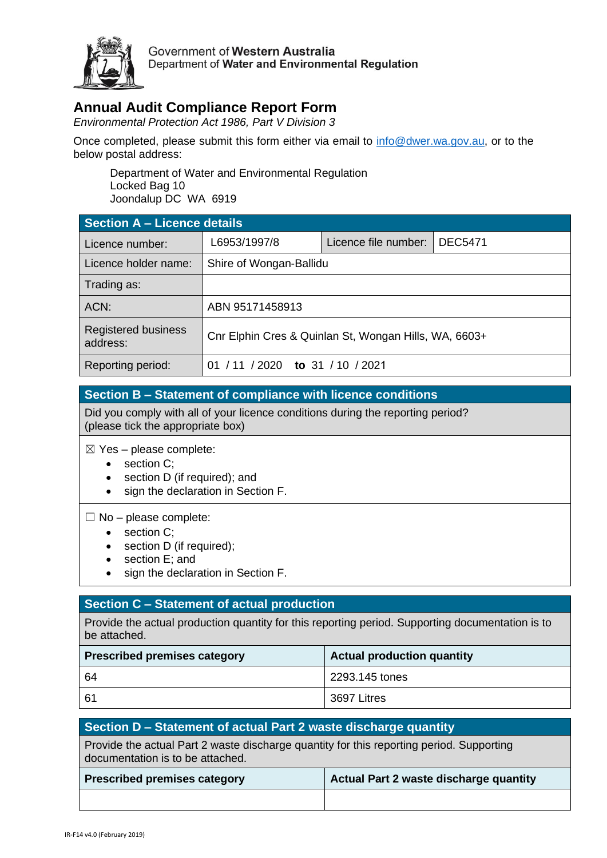

Government of Western Australia Department of Water and Environmental Regulation

## **Annual Audit Compliance Report Form**

*Environmental Protection Act 1986, Part V Division 3*

Once completed, please submit this form either via email to [info@dwer.wa.gov.au,](mailto:info@dwer.wa.gov.au) or to the below postal address:

Department of Water and Environmental Regulation Locked Bag 10 Joondalup DC WA 6919

| Section A - Licence details            |                                                       |                      |                |  |  |
|----------------------------------------|-------------------------------------------------------|----------------------|----------------|--|--|
| Licence number:                        | L6953/1997/8                                          | Licence file number: | <b>DEC5471</b> |  |  |
| Licence holder name:                   | Shire of Wongan-Ballidu                               |                      |                |  |  |
| Trading as:                            |                                                       |                      |                |  |  |
| ACN:                                   | ABN 95171458913                                       |                      |                |  |  |
| <b>Registered business</b><br>address: | Cnr Elphin Cres & Quinlan St, Wongan Hills, WA, 6603+ |                      |                |  |  |
| Reporting period:                      | /2020<br>to 31 / 10 / 2021<br>01                      |                      |                |  |  |

## **Section B – Statement of compliance with licence conditions**

Did you comply with all of your licence conditions during the reporting period? (please tick the appropriate box)

 $\boxtimes$  Yes – please complete:

- section C:
- section D (if required); and
- sign the declaration in Section F.

 $\Box$  No – please complete:

- section C;
- section D (if required);
- section E; and
- sign the declaration in Section F.

## **Section C – Statement of actual production**

Provide the actual production quantity for this reporting period. Supporting documentation is to be attached.

| <b>Prescribed premises category</b> | <b>Actual production quantity</b> |  |
|-------------------------------------|-----------------------------------|--|
| -64                                 | 2293.145 tones                    |  |
| -61                                 | 3697 Litres                       |  |

| Section D – Statement of actual Part 2 waste discharge quantity                                                              |                                               |  |  |  |
|------------------------------------------------------------------------------------------------------------------------------|-----------------------------------------------|--|--|--|
| Provide the actual Part 2 waste discharge quantity for this reporting period. Supporting<br>documentation is to be attached. |                                               |  |  |  |
| <b>Prescribed premises category</b>                                                                                          | <b>Actual Part 2 waste discharge quantity</b> |  |  |  |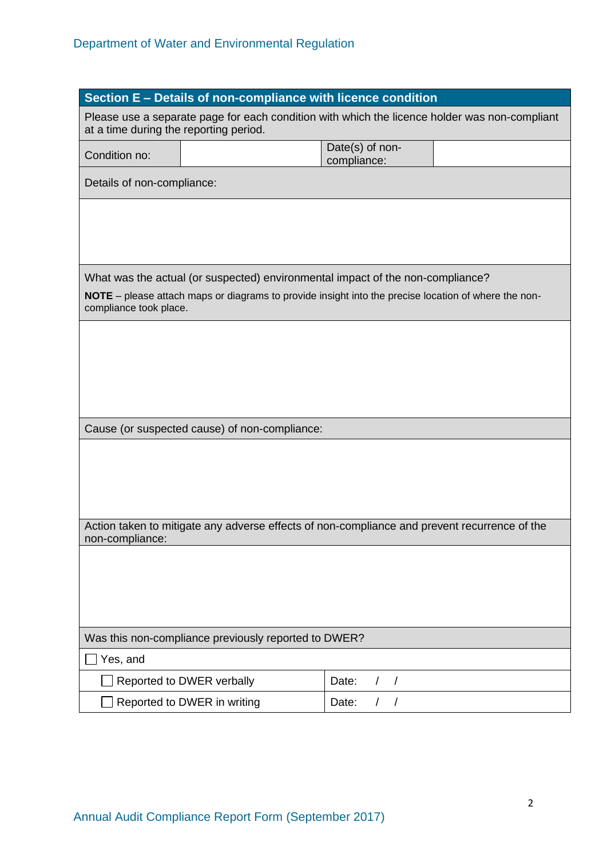| Section E - Details of non-compliance with licence condition                                                                            |                                                                                                      |                                |  |  |  |
|-----------------------------------------------------------------------------------------------------------------------------------------|------------------------------------------------------------------------------------------------------|--------------------------------|--|--|--|
| Please use a separate page for each condition with which the licence holder was non-compliant<br>at a time during the reporting period. |                                                                                                      |                                |  |  |  |
| Condition no:                                                                                                                           |                                                                                                      | Date(s) of non-<br>compliance: |  |  |  |
| Details of non-compliance:                                                                                                              |                                                                                                      |                                |  |  |  |
|                                                                                                                                         |                                                                                                      |                                |  |  |  |
|                                                                                                                                         |                                                                                                      |                                |  |  |  |
|                                                                                                                                         | What was the actual (or suspected) environmental impact of the non-compliance?                       |                                |  |  |  |
| compliance took place.                                                                                                                  | NOTE - please attach maps or diagrams to provide insight into the precise location of where the non- |                                |  |  |  |
|                                                                                                                                         |                                                                                                      |                                |  |  |  |
|                                                                                                                                         |                                                                                                      |                                |  |  |  |
|                                                                                                                                         |                                                                                                      |                                |  |  |  |
|                                                                                                                                         | Cause (or suspected cause) of non-compliance:                                                        |                                |  |  |  |
|                                                                                                                                         |                                                                                                      |                                |  |  |  |
|                                                                                                                                         |                                                                                                      |                                |  |  |  |
|                                                                                                                                         |                                                                                                      |                                |  |  |  |
| Action taken to mitigate any adverse effects of non-compliance and prevent recurrence of the<br>non-compliance:                         |                                                                                                      |                                |  |  |  |
|                                                                                                                                         |                                                                                                      |                                |  |  |  |
|                                                                                                                                         |                                                                                                      |                                |  |  |  |
|                                                                                                                                         |                                                                                                      |                                |  |  |  |
| Was this non-compliance previously reported to DWER?<br>Yes, and                                                                        |                                                                                                      |                                |  |  |  |
|                                                                                                                                         | Reported to DWER verbally                                                                            | Date:<br>$\left  \right $      |  |  |  |
|                                                                                                                                         | Reported to DWER in writing                                                                          | Date:<br>$\prime$              |  |  |  |